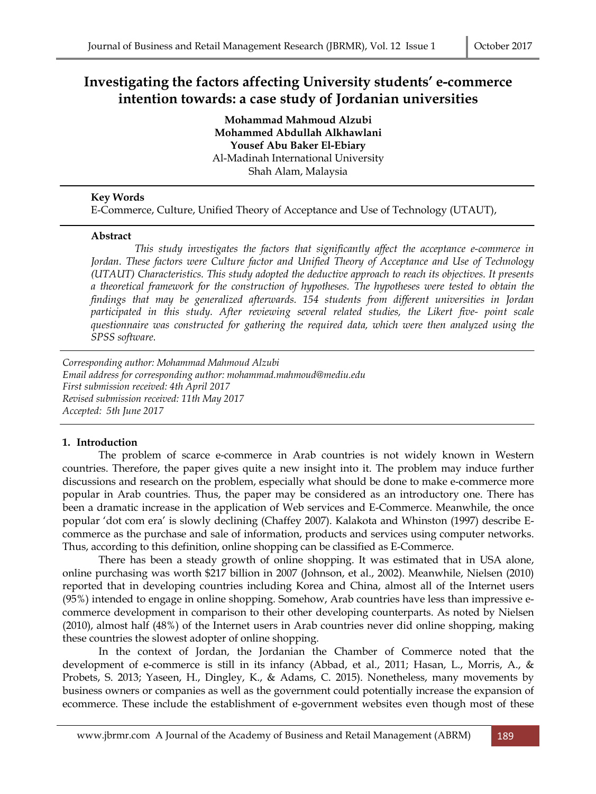# **Investigating the factors affecting University students' e-commerce intention towards: a case study of Jordanian universities**

**Mohammad Mahmoud Alzubi Mohammed Abdullah Alkhawlani Yousef Abu Baker El-Ebiary**  Al-Madinah International University Shah Alam, Malaysia

# **Key Words**

E-Commerce, Culture, Unified Theory of Acceptance and Use of Technology (UTAUT),

### **Abstract**

 *This study investigates the factors that significantly affect the acceptance e-commerce in Jordan. These factors were Culture factor and Unified Theory of Acceptance and Use of Technology (UTAUT) Characteristics. This study adopted the deductive approach to reach its objectives. It presents a theoretical framework for the construction of hypotheses. The hypotheses were tested to obtain the findings that may be generalized afterwards. 154 students from different universities in Jordan participated in this study. After reviewing several related studies, the Likert five- point scale questionnaire was constructed for gathering the required data, which were then analyzed using the SPSS software.* 

*Corresponding author: Mohammad Mahmoud Alzubi Email address for corresponding author: mohammad.mahmoud@mediu.edu First submission received: 4th April 2017 Revised submission received: 11th May 2017 Accepted: 5th June 2017*

# **1. Introduction**

 The problem of scarce e-commerce in Arab countries is not widely known in Western countries. Therefore, the paper gives quite a new insight into it. The problem may induce further discussions and research on the problem, especially what should be done to make e-commerce more popular in Arab countries. Thus, the paper may be considered as an introductory one. There has been a dramatic increase in the application of Web services and E-Commerce. Meanwhile, the once popular 'dot com era' is slowly declining (Chaffey 2007). Kalakota and Whinston (1997) describe Ecommerce as the purchase and sale of information, products and services using computer networks. Thus, according to this definition, online shopping can be classified as E-Commerce.

 There has been a steady growth of online shopping. It was estimated that in USA alone, online purchasing was worth \$217 billion in 2007 (Johnson, et al., 2002). Meanwhile, Nielsen (2010) reported that in developing countries including Korea and China, almost all of the Internet users (95%) intended to engage in online shopping. Somehow, Arab countries have less than impressive ecommerce development in comparison to their other developing counterparts. As noted by Nielsen (2010), almost half (48%) of the Internet users in Arab countries never did online shopping, making these countries the slowest adopter of online shopping.

 In the context of Jordan, the Jordanian the Chamber of Commerce noted that the development of e-commerce is still in its infancy (Abbad, et al., 2011; Hasan, L., Morris, A., & Probets, S. 2013; Yaseen, H., Dingley, K., & Adams, C. 2015). Nonetheless, many movements by business owners or companies as well as the government could potentially increase the expansion of ecommerce. These include the establishment of e-government websites even though most of these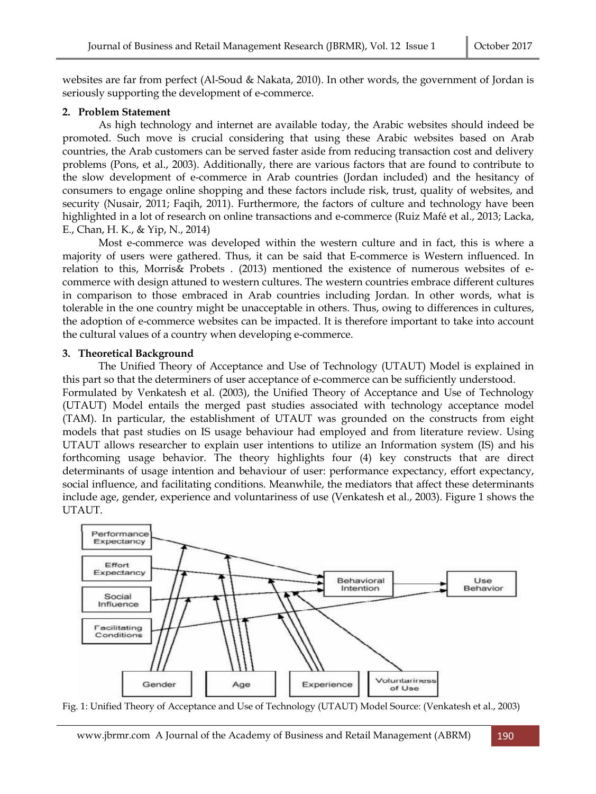websites are far from perfect (Al-Soud & Nakata, 2010). In other words, the government of Jordan is seriously supporting the development of e-commerce.

#### **2. Problem Statement**

 As high technology and internet are available today, the Arabic websites should indeed be promoted. Such move is crucial considering that using these Arabic websites based on Arab countries, the Arab customers can be served faster aside from reducing transaction cost and delivery problems (Pons, et al., 2003). Additionally, there are various factors that are found to contribute to the slow development of e-commerce in Arab countries (Jordan included) and the hesitancy of consumers to engage online shopping and these factors include risk, trust, quality of websites, and security (Nusair, 2011; Faqih, 2011). Furthermore, the factors of culture and technology have been highlighted in a lot of research on online transactions and e-commerce (Ruiz Mafé et al., 2013; Lacka, E., Chan, H. K., & Yip, N., 2014)

 Most e-commerce was developed within the western culture and in fact, this is where a majority of users were gathered. Thus, it can be said that E-commerce is Western influenced. In relation to this, Morris& Probets . (2013) mentioned the existence of numerous websites of ecommerce with design attuned to western cultures. The western countries embrace different cultures in comparison to those embraced in Arab countries including Jordan. In other words, what is tolerable in the one country might be unacceptable in others. Thus, owing to differences in cultures, the adoption of e-commerce websites can be impacted. It is therefore important to take into account the cultural values of a country when developing e-commerce.

### **3. Theoretical Background**

 The Unified Theory of Acceptance and Use of Technology (UTAUT) Model is explained in this part so that the determiners of user acceptance of e-commerce can be sufficiently understood.

Formulated by Venkatesh et al. (2003), the Unified Theory of Acceptance and Use of Technology (UTAUT) Model entails the merged past studies associated with technology acceptance model (TAM). In particular, the establishment of UTAUT was grounded on the constructs from eight models that past studies on IS usage behaviour had employed and from literature review. Using UTAUT allows researcher to explain user intentions to utilize an Information system (IS) and his forthcoming usage behavior. The theory highlights four (4) key constructs that are direct determinants of usage intention and behaviour of user: performance expectancy, effort expectancy, social influence, and facilitating conditions. Meanwhile, the mediators that affect these determinants include age, gender, experience and voluntariness of use (Venkatesh et al., 2003). Figure 1 shows the UTAUT.



Fig. 1: Unified Theory of Acceptance and Use of Technology (UTAUT) Model Source: (Venkatesh et al., 2003)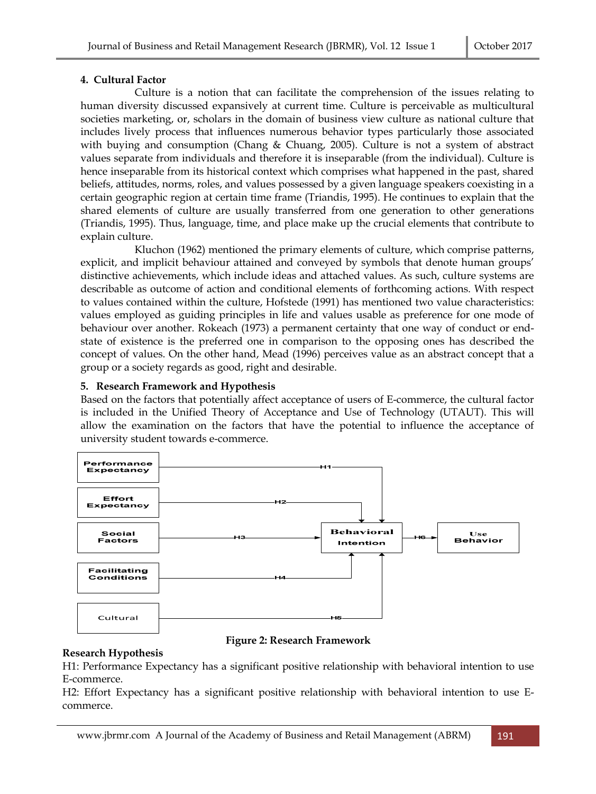# **4. Cultural Factor**

 Culture is a notion that can facilitate the comprehension of the issues relating to human diversity discussed expansively at current time. Culture is perceivable as multicultural societies marketing, or, scholars in the domain of business view culture as national culture that includes lively process that influences numerous behavior types particularly those associated with buying and consumption (Chang & Chuang, 2005). Culture is not a system of abstract values separate from individuals and therefore it is inseparable (from the individual). Culture is hence inseparable from its historical context which comprises what happened in the past, shared beliefs, attitudes, norms, roles, and values possessed by a given language speakers coexisting in a certain geographic region at certain time frame (Triandis, 1995). He continues to explain that the shared elements of culture are usually transferred from one generation to other generations (Triandis, 1995). Thus, language, time, and place make up the crucial elements that contribute to explain culture.

 Kluchon (1962) mentioned the primary elements of culture, which comprise patterns, explicit, and implicit behaviour attained and conveyed by symbols that denote human groups' distinctive achievements, which include ideas and attached values. As such, culture systems are describable as outcome of action and conditional elements of forthcoming actions. With respect to values contained within the culture, Hofstede (1991) has mentioned two value characteristics: values employed as guiding principles in life and values usable as preference for one mode of behaviour over another. Rokeach (1973) a permanent certainty that one way of conduct or endstate of existence is the preferred one in comparison to the opposing ones has described the concept of values. On the other hand, Mead (1996) perceives value as an abstract concept that a group or a society regards as good, right and desirable.

# **5. Research Framework and Hypothesis**

Based on the factors that potentially affect acceptance of users of E-commerce, the cultural factor is included in the Unified Theory of Acceptance and Use of Technology (UTAUT). This will allow the examination on the factors that have the potential to influence the acceptance of university student towards e-commerce.



# **Figure 2: Research Framework**

# **Research Hypothesis**

H1: Performance Expectancy has a significant positive relationship with behavioral intention to use E-commerce.

H2: Effort Expectancy has a significant positive relationship with behavioral intention to use Ecommerce.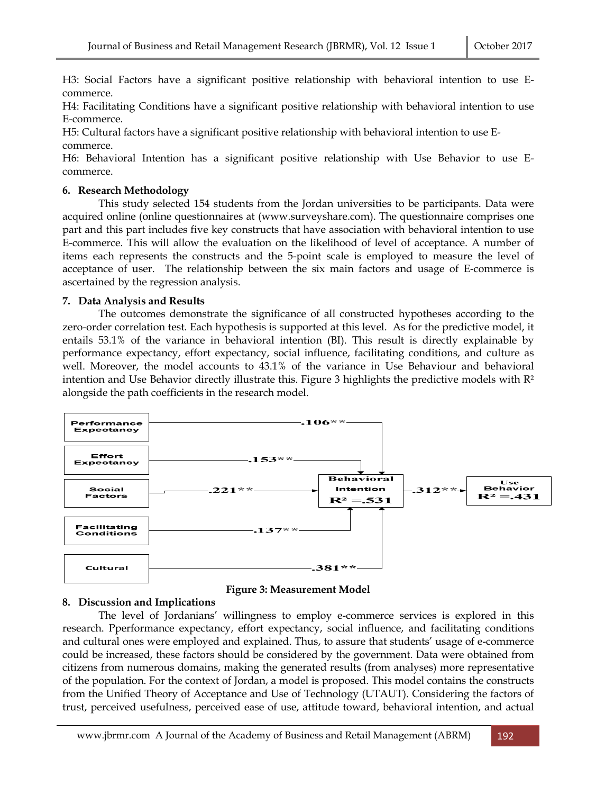H3: Social Factors have a significant positive relationship with behavioral intention to use Ecommerce.

H4: Facilitating Conditions have a significant positive relationship with behavioral intention to use E-commerce.

H5: Cultural factors have a significant positive relationship with behavioral intention to use Ecommerce.

H6: Behavioral Intention has a significant positive relationship with Use Behavior to use Ecommerce.

#### **6. Research Methodology**

 This study selected 154 students from the Jordan universities to be participants. Data were acquired online (online questionnaires at (www.surveyshare.com). The questionnaire comprises one part and this part includes five key constructs that have association with behavioral intention to use E-commerce. This will allow the evaluation on the likelihood of level of acceptance. A number of items each represents the constructs and the 5-point scale is employed to measure the level of acceptance of user. The relationship between the six main factors and usage of E-commerce is ascertained by the regression analysis.

#### **7. Data Analysis and Results**

 The outcomes demonstrate the significance of all constructed hypotheses according to the zero-order correlation test. Each hypothesis is supported at this level. As for the predictive model, it entails 53.1% of the variance in behavioral intention (BI). This result is directly explainable by performance expectancy, effort expectancy, social influence, facilitating conditions, and culture as well. Moreover, the model accounts to 43.1% of the variance in Use Behaviour and behavioral intention and Use Behavior directly illustrate this. Figure 3 highlights the predictive models with R² alongside the path coefficients in the research model.





#### **8. Discussion and Implications**

 The level of Jordanians' willingness to employ e-commerce services is explored in this research. Pperformance expectancy, effort expectancy, social influence, and facilitating conditions and cultural ones were employed and explained. Thus, to assure that students' usage of e-commerce could be increased, these factors should be considered by the government. Data were obtained from citizens from numerous domains, making the generated results (from analyses) more representative of the population. For the context of Jordan, a model is proposed. This model contains the constructs from the Unified Theory of Acceptance and Use of Te**c**hnology (UTAUT). Considering the factors of trust, perceived usefulness, perceived ease of use, attitude toward, behavioral intention, and actual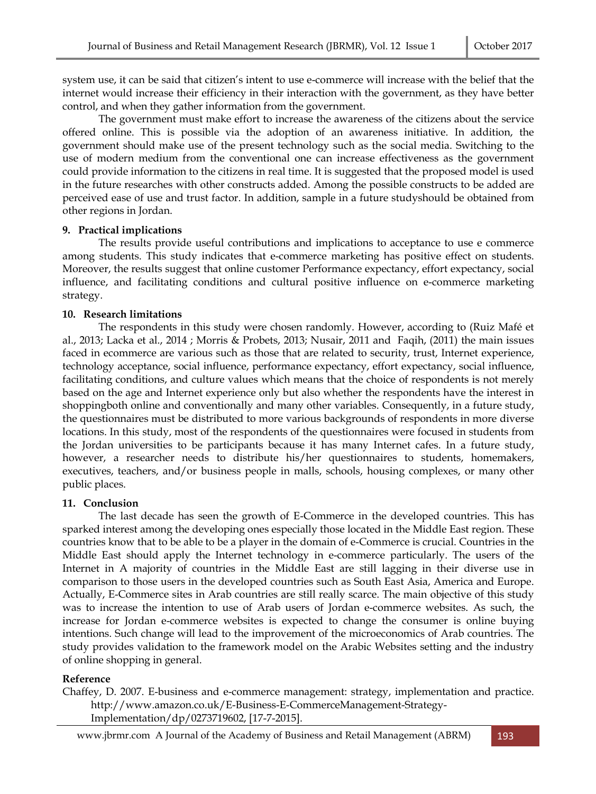system use, it can be said that citizen's intent to use e-commerce will increase with the belief that the internet would increase their efficiency in their interaction with the government, as they have better control, and when they gather information from the government.

 The government must make effort to increase the awareness of the citizens about the service offered online. This is possible via the adoption of an awareness initiative. In addition, the government should make use of the present technology such as the social media. Switching to the use of modern medium from the conventional one can increase effectiveness as the government could provide information to the citizens in real time. It is suggested that the proposed model is used in the future researches with other constructs added. Among the possible constructs to be added are perceived ease of use and trust factor. In addition, sample in a future studyshould be obtained from other regions in Jordan.

### **9. Practical implications**

 The results provide useful contributions and implications to acceptance to use e commerce among students. This study indicates that e-commerce marketing has positive effect on students. Moreover, the results suggest that online customer Performance expectancy, effort expectancy, social influence, and facilitating conditions and cultural positive influence on e-commerce marketing strategy.

# **10. Research limitations**

 The respondents in this study were chosen randomly. However, according to (Ruiz Mafé et al., 2013; Lacka et al., 2014 ; Morris & Probets, 2013; Nusair, 2011 and Faqih, (2011) the main issues faced in ecommerce are various such as those that are related to security, trust, Internet experience, technology acceptance, social influence, performance expectancy, effort expectancy, social influence, facilitating conditions, and culture values which means that the choice of respondents is not merely based on the age and Internet experience only but also whether the respondents have the interest in shoppingboth online and conventionally and many other variables. Consequently, in a future study, the questionnaires must be distributed to more various backgrounds of respondents in more diverse locations. In this study, most of the respondents of the questionnaires were focused in students from the Jordan universities to be participants because it has many Internet cafes. In a future study, however, a researcher needs to distribute his/her questionnaires to students, homemakers, executives, teachers, and/or business people in malls, schools, housing complexes, or many other public places.

#### **11. Conclusion**

 The last decade has seen the growth of E-Commerce in the developed countries. This has sparked interest among the developing ones especially those located in the Middle East region. These countries know that to be able to be a player in the domain of e-Commerce is crucial. Countries in the Middle East should apply the Internet technology in e-commerce particularly. The users of the Internet in A majority of countries in the Middle East are still lagging in their diverse use in comparison to those users in the developed countries such as South East Asia, America and Europe. Actually, E-Commerce sites in Arab countries are still really scarce. The main objective of this study was to increase the intention to use of Arab users of Jordan e-commerce websites. As such, the increase for Jordan e-commerce websites is expected to change the consumer is online buying intentions. Such change will lead to the improvement of the microeconomics of Arab countries. The study provides validation to the framework model on the Arabic Websites setting and the industry of online shopping in general.

# **Reference**

Chaffey, D. 2007. E-business and e-commerce management: strategy, implementation and practice. http://www.amazon.co.uk/E-Business-E-CommerceManagement-Strategy-Implementation/dp/0273719602, [17-7-2015].

www.jbrmr.com A Journal of the Academy of Business and Retail Management (ABRM) 193